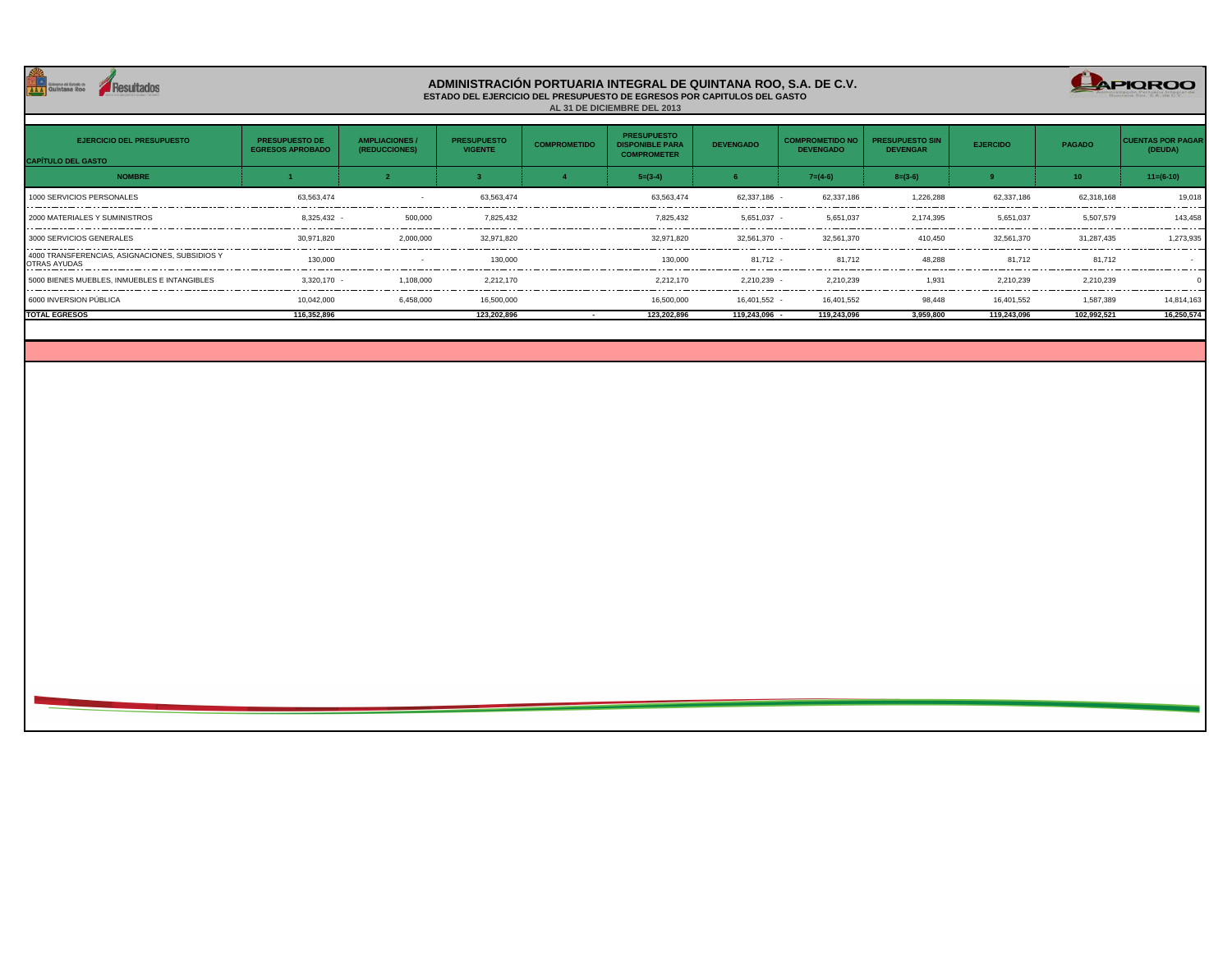

## **ADMINISTRACIÓN PORTUARIA INTEGRAL DE QUINTANA ROO, S.A. DE C.V. ESTADO DEL EJERCICIO DEL PRESUPUESTO DE EGRESOS POR CAPITULOS DEL GASTO AL 31 DE DICIEMBRE DEL 2013**

CAPIOROO